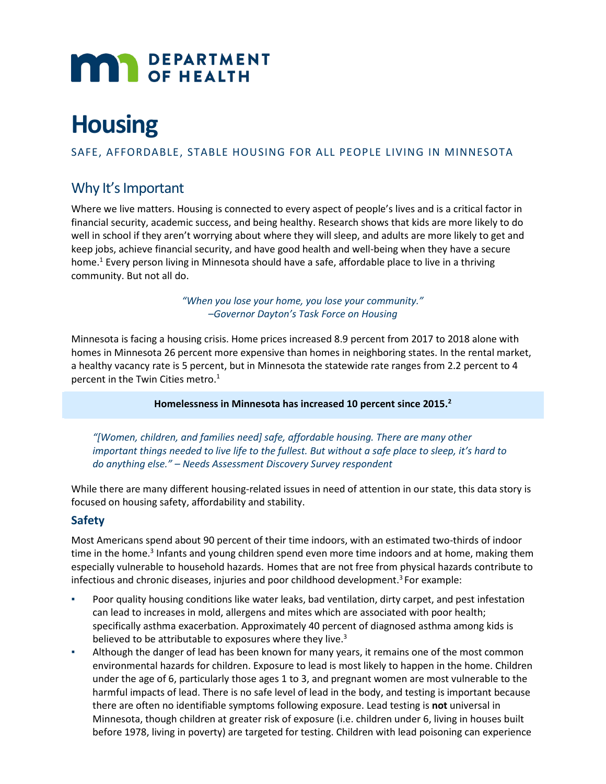

# **Housing**

SAFE, AFFORDABLE, STABLE HOUSING FOR ALL PEOPLE LIVING IN MINNESOTA

# Why It's Important

Where we live matters. Housing is connected to every aspect of people's lives and is a critical factor in financial security, academic success, and being healthy. Research shows that kids are more likely to do well in school if they aren't worrying about where they will sleep, and adults are more likely to get and keep jobs, achieve financial security, and have good health and well-being when they have a secure home.<sup>1</sup> Every person living in Minnesota should have a safe, affordable place to live in a thriving community. But not all do.

> *"When you lose your home, you lose your community." –Governor Dayton's Task Force on Housing*

Minnesota is facing a housing crisis. Home prices increased 8.9 percent from 2017 to 2018 alone with homes in Minnesota 26 percent more expensive than homes in neighboring states. In the rental market, a healthy vacancy rate is 5 percent, but in Minnesota the statewide rate ranges from 2.2 percent to 4 percent in the Twin Cities metro. $1$ 

**Homelessness in Minnesota has increased 10 percent since 2015.2**

*"[Women, children, and families need] safe, affordable housing. There are many other important things needed to live life to the fullest. But without a safe place to sleep, it's hard to do anything else." – Needs Assessment Discovery Survey respondent*

While there are many different housing-related issues in need of attention in our state, this data story is focused on housing safety, affordability and stability.

## **Safety**

Most Americans spend about 90 percent of their time indoors, with an estimated two-thirds of indoor time in the home.<sup>3</sup> Infants and young children spend even more time indoors and at home, making them especially vulnerable to household hazards. Homes that are not free from physical hazards contribute to infectious and chronic diseases, injuries and poor childhood development.<sup>3</sup> For example:

- Poor quality housing conditions like water leaks, bad ventilation, dirty carpet, and pest infestation can lead to increases in mold, allergens and mites which are associated with poor health; specifically asthma exacerbation. Approximately 40 percent of diagnosed asthma among kids is believed to be attributable to exposures where they live.<sup>3</sup>
- Although the danger of lead has been known for many years, it remains one of the most common environmental hazards for children. Exposure to lead is most likely to happen in the home. Children under the age of 6, particularly those ages 1 to 3, and pregnant women are most vulnerable to the harmful impacts of lead. There is no safe level of lead in the body, and testing is important because there are often no identifiable symptoms following exposure. Lead testing is **not** universal in Minnesota, though children at greater risk of exposure (i.e. children under 6, living in houses built before 1978, living in poverty) are targeted for testing. Children with lead poisoning can experience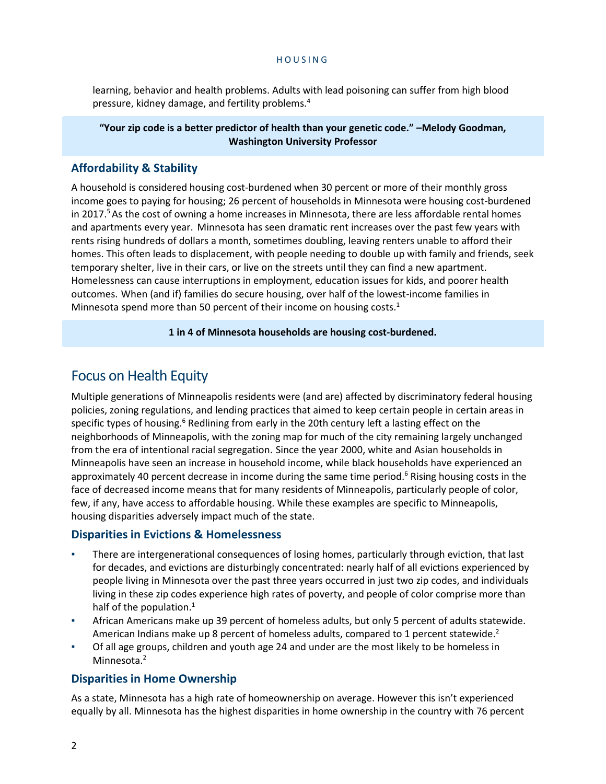learning, behavior and health problems. Adults with lead poisoning can suffer from high blood pressure, kidney damage, and fertility problems.<sup>4</sup>

#### **"Your zip code is a better predictor of health than your genetic code." –Melody Goodman, Washington University Professor**

# **Affordability & Stability**

A household is considered housing cost-burdened when 30 percent or more of their monthly gross income goes to paying for housing; 26 percent of households in Minnesota were housing cost-burdened in 2017.<sup>5</sup> As the cost of owning a home increases in Minnesota, there are less affordable rental homes and apartments every year. Minnesota has seen dramatic rent increases over the past few years with rents rising hundreds of dollars a month, sometimes doubling, leaving renters unable to afford their homes. This often leads to displacement, with people needing to double up with family and friends, seek temporary shelter, live in their cars, or live on the streets until they can find a new apartment. Homelessness can cause interruptions in employment, education issues for kids, and poorer health outcomes. When (and if) families do secure housing, over half of the lowest-income families in Minnesota spend more than 50 percent of their income on housing costs.<sup>1</sup>

### **1 in 4 of Minnesota households are housing cost-burdened.**

# Focus on Health Equity

Multiple generations of Minneapolis residents were (and are) affected by discriminatory federal housing policies, zoning regulations, and lending practices that aimed to keep certain people in certain areas in specific types of housing.<sup>6</sup> Redlining from early in the 20th century left a lasting effect on the neighborhoods of Minneapolis, with the zoning map for much of the city remaining largely unchanged from the era of intentional racial segregation. Since the year 2000, white and Asian households in Minneapolis have seen an increase in household income, while black households have experienced an approximately 40 percent decrease in income during the same time period.<sup>6</sup> Rising housing costs in the face of decreased income means that for many residents of Minneapolis, particularly people of color, few, if any, have access to affordable housing. While these examples are specific to Minneapolis, housing disparities adversely impact much of the state.

## **Disparities in Evictions & Homelessness**

- There are intergenerational consequences of losing homes, particularly through eviction, that last for decades, and evictions are disturbingly concentrated: nearly half of all evictions experienced by people living in Minnesota over the past three years occurred in just two zip codes, and individuals living in these zip codes experience high rates of poverty, and people of color comprise more than half of the population. $<sup>1</sup>$ </sup>
- African Americans make up 39 percent of homeless adults, but only 5 percent of adults statewide. American Indians make up 8 percent of homeless adults, compared to 1 percent statewide.<sup>2</sup>
- Of all age groups, children and youth age 24 and under are the most likely to be homeless in Minnesota.<sup>2</sup>

## **Disparities in Home Ownership**

As a state, Minnesota has a high rate of homeownership on average. However this isn't experienced equally by all. Minnesota has the highest disparities in home ownership in the country with 76 percent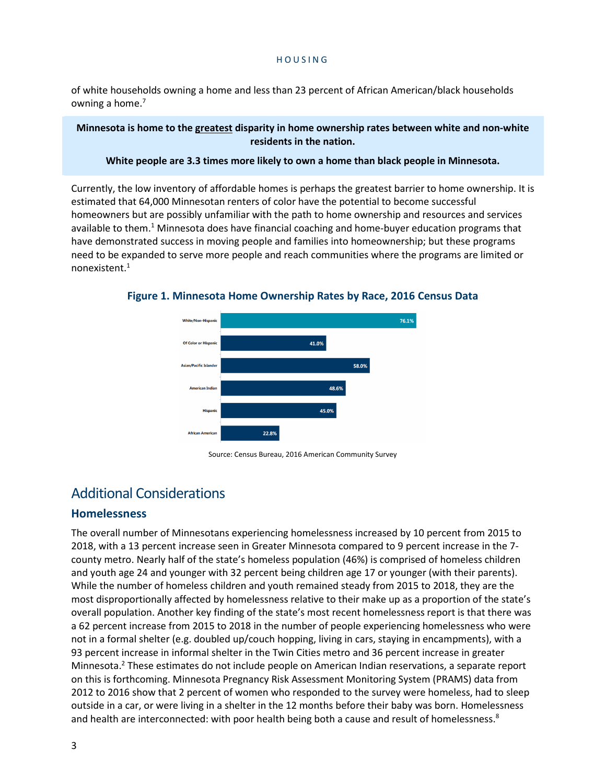of white households owning a home and less than 23 percent of African American/black households owning a home.<sup>7</sup>

#### **Minnesota is home to the greatest disparity in home ownership rates between white and non-white residents in the nation.**

#### **White people are 3.3 times more likely to own a home than black people in Minnesota.**

Currently, the low inventory of affordable homes is perhaps the greatest barrier to home ownership. It is estimated that 64,000 Minnesotan renters of color have the potential to become successful homeowners but are possibly unfamiliar with the path to home ownership and resources and services available to them.<sup>1</sup> Minnesota does have financial coaching and home-buyer education programs that have demonstrated success in moving people and families into homeownership; but these programs need to be expanded to serve more people and reach communities where the programs are limited or nonexistent.1



**Figure 1. Minnesota Home Ownership Rates by Race, 2016 Census Data**

# Additional Considerations

## **Homelessness**

The overall number of Minnesotans experiencing homelessness increased by 10 percent from 2015 to 2018, with a 13 percent increase seen in Greater Minnesota compared to 9 percent increase in the 7 county metro. Nearly half of the state's homeless population (46%) is comprised of homeless children and youth age 24 and younger with 32 percent being children age 17 or younger (with their parents). While the number of homeless children and youth remained steady from 2015 to 2018, they are the most disproportionally affected by homelessness relative to their make up as a proportion of the state's overall population. Another key finding of the state's most recent homelessness report is that there was a 62 percent increase from 2015 to 2018 in the number of people experiencing homelessness who were not in a formal shelter (e.g. doubled up/couch hopping, living in cars, staying in encampments), with a 93 percent increase in informal shelter in the Twin Cities metro and 36 percent increase in greater Minnesota.2 These estimates do not include people on American Indian reservations, a separate report on this is forthcoming. Minnesota Pregnancy Risk Assessment Monitoring System (PRAMS) data from 2012 to 2016 show that 2 percent of women who responded to the survey were homeless, had to sleep outside in a car, or were living in a shelter in the 12 months before their baby was born. Homelessness and health are interconnected: with poor health being both a cause and result of homelessness.<sup>8</sup>

Source: Census Bureau, 2016 American Community Survey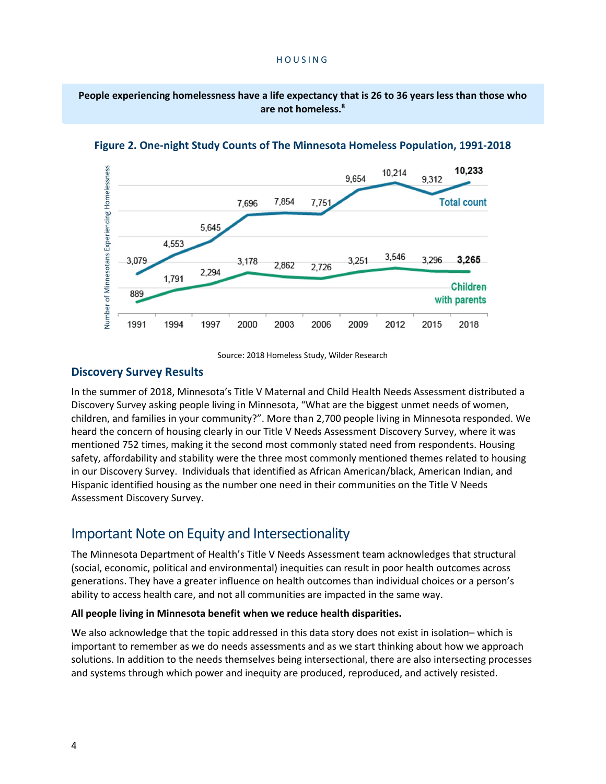**People experiencing homelessness have a life expectancy that is 26 to 36 years less than those who are not homeless. 8**



**Figure 2. One-night Study Counts of The Minnesota Homeless Population, 1991-2018**

Source: 2018 Homeless Study, Wilder Research

## **Discovery Survey Results**

In the summer of 2018, Minnesota's Title V Maternal and Child Health Needs Assessment distributed a Discovery Survey asking people living in Minnesota, "What are the biggest unmet needs of women, children, and families in your community?". More than 2,700 people living in Minnesota responded. We heard the concern of housing clearly in our Title V Needs Assessment Discovery Survey, where it was mentioned 752 times, making it the second most commonly stated need from respondents. Housing safety, affordability and stability were the three most commonly mentioned themes related to housing in our Discovery Survey. Individuals that identified as African American/black, American Indian, and Hispanic identified housing as the number one need in their communities on the Title V Needs Assessment Discovery Survey.

# Important Note on Equity and Intersectionality

The Minnesota Department of Health's Title V Needs Assessment team acknowledges that structural (social, economic, political and environmental) inequities can result in poor health outcomes across generations. They have a greater influence on health outcomes than individual choices or a person's ability to access health care, and not all communities are impacted in the same way.

#### **All people living in Minnesota benefit when we reduce health disparities.**

We also acknowledge that the topic addressed in this data story does not exist in isolation– which is important to remember as we do needs assessments and as we start thinking about how we approach solutions. In addition to the needs themselves being intersectional, there are also intersecting processes and systems through which power and inequity are produced, reproduced, and actively resisted.